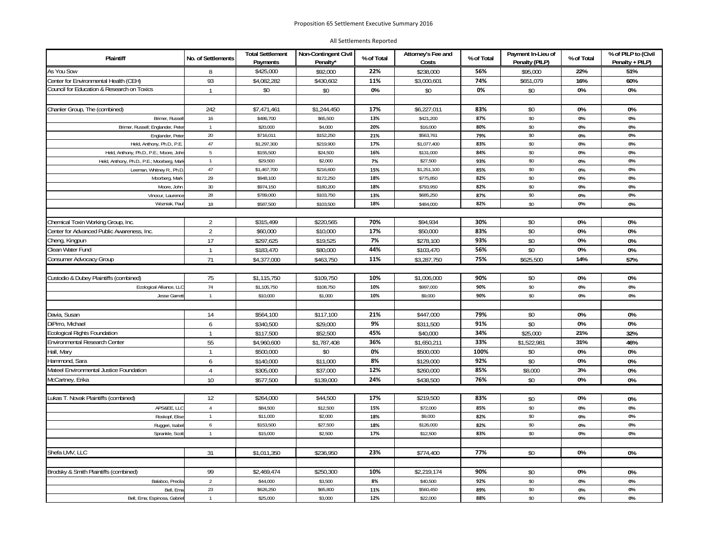## All Settlements Reported

| Plaintiff                                      | No. of Settlements | <b>Total Settlement</b><br>Payments | Non-Contingent Civil<br>Penalty* | % of Total | Attorney's Fee and<br>Costs | % of Total | Payment In-Lieu of<br>Penalty (PILP) | % of Total | % of PILP to (Civil<br>Penalty + PILP) |
|------------------------------------------------|--------------------|-------------------------------------|----------------------------------|------------|-----------------------------|------------|--------------------------------------|------------|----------------------------------------|
| As You Sow                                     | 8                  | \$425.000                           | \$92.000                         | 22%        | \$238.000                   | 56%        | \$95,000                             | 22%        | 51%                                    |
| Center for Environmental Health (CEH)          | 93                 | \$4,082,282                         | \$430,602                        | 11%        | \$3,000,601                 | 74%        | \$651,079                            | 16%        | 60%                                    |
| Council for Education & Research on Toxics     | $\mathbf{1}$       | \$0                                 | \$0                              | 0%         | \$0                         | 0%         | \$0                                  | 0%         | 0%                                     |
|                                                |                    |                                     |                                  |            |                             |            |                                      |            |                                        |
| Chanler Group, The (combined)                  | 242                | \$7,471,461                         | \$1,244,450                      | 17%        | \$6,227,011                 | 83%        | \$0                                  | 0%         | 0%                                     |
| Brimer, Russel                                 | 16                 | \$486,700                           | \$65,500                         | 13%        | \$421,200                   | 87%        | \$0                                  | $0\%$      | 0%                                     |
| Brimer, Russell; Englander, Peter              | $\mathbf{1}$       | \$20,000                            | \$4,000                          | 20%        | \$16,000                    | 80%        | \$0                                  | 0%         | 0%                                     |
| Englander, Pete                                | 20                 | \$716,011                           | \$152,250                        | 21%        | \$563,761                   | 79%        | \$0                                  | 0%         | $0\%$                                  |
| Held, Anthony, Ph.D., P.E.                     | 47                 | \$1,297,300                         | \$219,900                        | 17%        | \$1,077,400                 | 83%        | $\$0$                                | 0%         | 0%                                     |
| Held, Anthony, Ph.D., P.E.; Moore, Johr        | $5\phantom{.0}$    | \$155,500                           | \$24,500                         | 16%        | \$131,000                   | 84%        | \$0                                  | 0%         | $0\%$                                  |
| Held, Anthony, Ph.D., P.E.; Moorberg, Marl     | $\overline{1}$     | \$29,500                            | \$2,000                          | 7%         | \$27,500                    | 93%        | $\$0$                                | $0\%$      | 0%                                     |
| Leeman, Whitney R., Ph.D                       | 47                 | \$1,467,700                         | \$216,600                        | 15%        | \$1,251,100                 | 85%        | \$0                                  | 0%         | 0%                                     |
| Moorberg, Mark                                 | 29                 | \$948,100                           | \$172,250                        | 18%        | \$775,850                   | 82%        | \$0                                  | 0%         | $0\%$                                  |
| Moore, John                                    | 30                 | \$974,150                           | \$180,200                        | 18%        | \$793,950                   | 82%        | \$0                                  | $0\%$      | 0%                                     |
| Vinocur, Laurence                              | 28                 | \$789,000                           | \$103,750                        | 13%        | \$685,250                   | 87%        | $\$0$                                | $0\%$      | $0\%$                                  |
| Wozniak, Pau                                   | 18                 | \$587,500                           | \$103,500                        | 18%        | \$484,000                   | 82%        | $\$0$                                | $0\%$      | $0\%$                                  |
|                                                |                    |                                     |                                  |            |                             |            |                                      |            |                                        |
| Chemical Toxin Working Group, Inc.             | $\overline{2}$     | \$315,499                           | \$220,565                        | 70%        | \$94,934                    | 30%        | \$0                                  | 0%         | 0%                                     |
| Center for Advanced Public Awareness, Inc.     | $\overline{2}$     | \$60,000                            | \$10,000                         | 17%        | \$50,000                    | 83%        | \$0                                  | 0%         | 0%                                     |
| Cheng, Kingpun                                 | 17                 | \$297,625                           | \$19,525                         | 7%         | \$278,100                   | 93%        | \$0                                  | 0%         | 0%                                     |
| Clean Water Fund                               | $\mathbf{1}$       | \$183,470                           | \$80,000                         | 44%        | \$103,470                   | 56%        | $\$0$                                | 0%         | 0%                                     |
| Consumer Advocacy Group                        | 71                 | \$4,377,000                         | \$463,750                        | 11%        | \$3,287,750                 | 75%        | \$625,500                            | 14%        | 57%                                    |
|                                                |                    |                                     |                                  |            |                             |            |                                      |            |                                        |
| Custodio & Dubey Plaintiffs (combined)         | 75                 | \$1,115,750                         | \$109,750                        | 10%        | \$1,006,000                 | 90%        | \$0                                  | 0%         | 0%                                     |
| Ecological Alliance, LL                        | $74$               | \$1,105,750                         | \$108,750                        | 10%        | \$997,000                   | 90%        | $\$0$                                | $0\%$      | $0\%$                                  |
| <b>Jesse Garret</b>                            | $\mathbf{1}$       | \$10,000                            | \$1,000                          | 10%        | \$9,000                     | 90%        | \$0                                  | $0\%$      | $0\%$                                  |
|                                                |                    |                                     |                                  |            |                             |            |                                      |            |                                        |
| Davia, Susan                                   | 14                 | \$564,100                           | \$117,100                        | 21%        | \$447,000                   | 79%        | \$0                                  | 0%         | 0%                                     |
| DiPirro, Michael                               | 6                  | \$340,500                           | \$29,000                         | 9%         | \$311,500                   | 91%        | \$0                                  | 0%         | 0%                                     |
| Ecological Rights Foundation                   | $\mathbf{1}$       | \$117,500                           | \$52,500                         | 45%        | \$40,000                    | 34%        | \$25,000                             | 21%        | 32%                                    |
| <b>Environmental Research Center</b>           | $55\,$             | \$4,960,600                         | \$1,787,408                      | 36%        | \$1,650,211                 | 33%        | \$1,522,981                          | 31%        | 46%                                    |
| Hall, Mary                                     | $\mathbf{1}$       | \$500,000                           | \$0                              | 0%         | \$500,000                   | 100%       | \$0                                  | 0%         | 0%                                     |
| Hammond, Sara                                  | 6                  | \$140,000                           | \$11,000                         | 8%         | \$129,000                   | 92%        | \$0                                  | 0%         | 0%                                     |
| <b>Aateel Environmental Justice Foundation</b> | $\overline{4}$     | \$305,000                           | \$37,000                         | 12%        | \$260,000                   | 85%        | \$8,000                              | 3%         | 0%                                     |
| McCartney, Erika                               | 10                 | \$577,500                           | \$139,000                        | 24%        | \$438,500                   | 76%        | \$0                                  | 0%         | 0%                                     |
|                                                |                    |                                     |                                  |            |                             |            |                                      |            |                                        |
| Lukas T. Novak Plaintiffs (combined)           | 12                 | \$264,000                           | \$44,500                         | 17%        | \$219,500                   | 83%        | \$0                                  | 0%         | 0%                                     |
| APS&EE, LLC                                    | $\overline{4}$     | \$84,500                            | \$12,500                         |            | \$72,000                    |            | $\$0$                                | $0\%$      | $0\%$                                  |
| Roskopf, Elise                                 | $\mathbf{1}$       | \$11,000                            | \$2,000                          | 15%<br>18% | \$9,000                     | 85%<br>82% | \$0                                  | $0\%$      | 0%                                     |
| Ruggeri, Isabe                                 | 6                  | \$153,500                           | \$27,500                         | 18%        | \$126,000                   | 82%        | \$0                                  | 0%         | 0%                                     |
| Sprankle, Scot                                 | $\overline{1}$     | \$15,000                            | \$2,500                          | 17%        | \$12,500                    | 83%        | \$0                                  | 0%         | $0\%$                                  |
|                                                |                    |                                     |                                  |            |                             |            |                                      |            |                                        |
| Shefa LMV, LLC                                 | 31                 | \$1,011,350                         | \$236,950                        | 23%        | \$774,400                   | 77%        | \$0                                  | 0%         | 0%                                     |
|                                                |                    |                                     |                                  |            |                             |            |                                      |            |                                        |
| Brodsky & Smith Plaintiffs (combined)          | 99                 | \$2,469,474                         | \$250,300                        | 10%        | \$2,219,174                 | 90%        | \$0                                  | 0%         | 0%                                     |
| Balaboo, Precila                               | $\overline{2}$     | \$44,000                            | \$3,500                          | 8%         | \$40,500                    | 92%        | \$0                                  | $0\%$      | 0%                                     |
| Bell, Ema                                      | $23\,$             | \$626,250                           | \$65,800                         | 11%        | \$560,450                   | 89%        | $\$0$                                | $0\%$      | $0\%$                                  |
| Bell, Ema; Espinosa, Gabrie                    | $\mathbf{1}$       | \$25,000                            | \$3,000                          | 12%        | \$22,000                    | 88%        | \$0                                  | 0%         | 0%                                     |
|                                                |                    |                                     |                                  |            |                             |            |                                      |            |                                        |